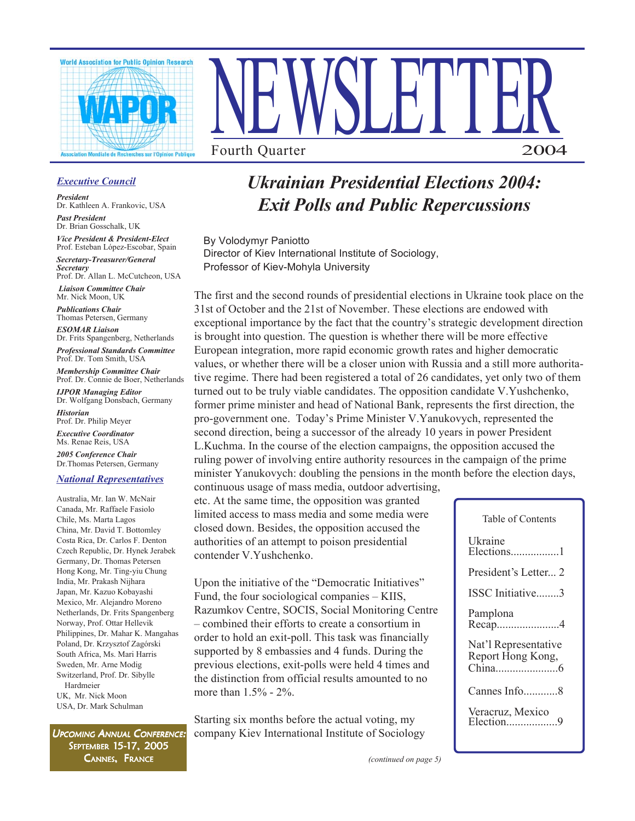



## *Executive Council*

*President* Dr. Kathleen A. Frankovic, USA

*Past President* Dr. Brian Gosschalk, UK

*Vice President & President-Elect* Prof. Esteban López-Escobar, Spain

*Secretary-Treasurer/General Secretary* Prof. Dr. Allan L. McCutcheon, USA

 *Liaison Committee Chair* Mr. Nick Moon, UK

*Publications Chair* Thomas Petersen, Germany

*ESOMAR Liaison* Dr. Frits Spangenberg, Netherlands

*Professional Standards Committee* Prof. Dr. Tom Smith, USA

*Membership Committee Chair* Prof. Dr. Connie de Boer, Netherlands

*IJPOR Managing Editor* Dr. Wolfgang Donsbach, Germany *Historian*

Prof. Dr. Philip Meyer *Executive Coordinator* Ms. Renae Reis, USA

*2005 Conference Chair* Dr.Thomas Petersen, Germany

#### *National Representatives*

Australia, Mr. Ian W. McNair Canada, Mr. Raffaele Fasiolo Chile, Ms. Marta Lagos China, Mr. David T. Bottomley Costa Rica, Dr. Carlos F. Denton Czech Republic, Dr. Hynek Jerabek Germany, Dr. Thomas Petersen Hong Kong, Mr. Ting-yiu Chung India, Mr. Prakash Nijhara Japan, Mr. Kazuo Kobayashi Mexico, Mr. Alejandro Moreno Netherlands, Dr. Frits Spangenberg Norway, Prof. Ottar Hellevik Philippines, Dr. Mahar K. Mangahas Poland, Dr. Krzysztof Zagórski South Africa, Ms. Mari Harris Sweden, Mr. Arne Modig Switzerland, Prof. Dr. Sibylle Hardmeier UK, Mr. Nick Moon USA, Dr. Mark Schulman

UPCOMING ANNUAL CONFERENCE: SEPTEMBER 15-17, 2005 CANNES, FRANCE *(continued on page 5)*

# *Ukrainian Presidential Elections 2004: Exit Polls and Public Repercussions*

By Volodymyr Paniotto Director of Kiev International Institute of Sociology, Professor of Kiev-Mohyla University

The first and the second rounds of presidential elections in Ukraine took place on the 31st of October and the 21st of November. These elections are endowed with exceptional importance by the fact that the country's strategic development direction is brought into question. The question is whether there will be more effective European integration, more rapid economic growth rates and higher democratic values, or whether there will be a closer union with Russia and a still more authoritative regime. There had been registered a total of 26 candidates, yet only two of them turned out to be truly viable candidates. The opposition candidate V.Yushchenko, former prime minister and head of National Bank, represents the first direction, the pro-government one. Today's Prime Minister V.Yanukovych, represented the second direction, being a successor of the already 10 years in power President L.Kuchma. In the course of the election campaigns, the opposition accused the ruling power of involving entire authority resources in the campaign of the prime minister Yanukovych: doubling the pensions in the month before the election days, continuous usage of mass media, outdoor advertising,

etc. At the same time, the opposition was granted limited access to mass media and some media were closed down. Besides, the opposition accused the authorities of an attempt to poison presidential contender V.Yushchenko.

Upon the initiative of the "Democratic Initiatives" Fund, the four sociological companies – KIIS, Razumkov Centre, SOCIS, Social Monitoring Centre – combined their efforts to create a consortium in order to hold an exit-poll. This task was financially supported by 8 embassies and 4 funds. During the previous elections, exit-polls were held 4 times and the distinction from official results amounted to no more than 1.5% - 2%.

Starting six months before the actual voting, my company Kiev International Institute of Sociology

| Table of Contents                         |
|-------------------------------------------|
| <b>Ukraine</b><br>Elections1              |
| President's Letter 2                      |
| ISSC Initiative3                          |
| Pamplona<br>$Recap$ 4                     |
| Nat'l Representative<br>Report Hong Kong, |
| Cannes Info8                              |
| Veracruz, Mexico<br>Election9             |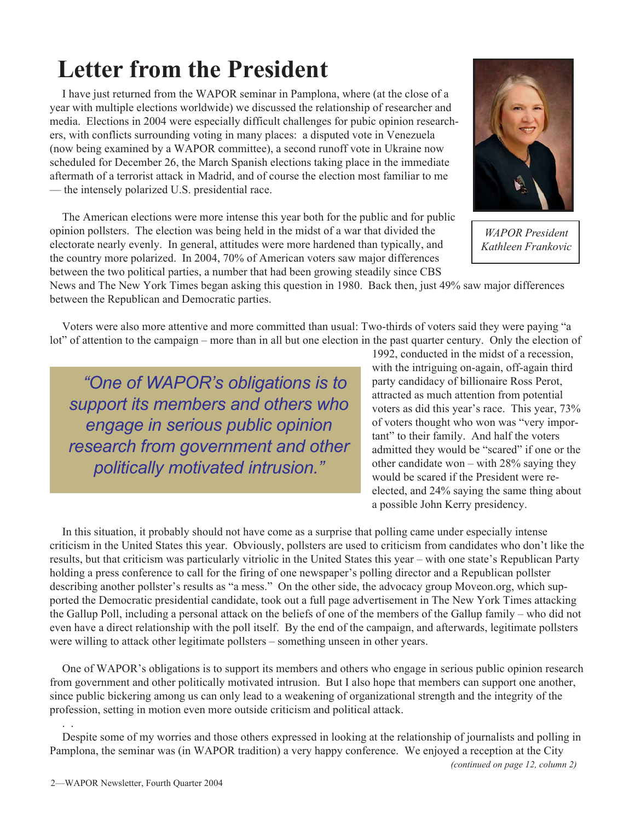# **Letter from the President**

I have just returned from the WAPOR seminar in Pamplona, where (at the close of a year with multiple elections worldwide) we discussed the relationship of researcher and media. Elections in 2004 were especially difficult challenges for pubic opinion researchers, with conflicts surrounding voting in many places: a disputed vote in Venezuela (now being examined by a WAPOR committee), a second runoff vote in Ukraine now scheduled for December 26, the March Spanish elections taking place in the immediate aftermath of a terrorist attack in Madrid, and of course the election most familiar to me — the intensely polarized U.S. presidential race.

The American elections were more intense this year both for the public and for public opinion pollsters. The election was being held in the midst of a war that divided the electorate nearly evenly. In general, attitudes were more hardened than typically, and the country more polarized. In 2004, 70% of American voters saw major differences between the two political parties, a number that had been growing steadily since CBS

News and The New York Times began asking this question in 1980. Back then, just 49% saw major differences between the Republican and Democratic parties.

Voters were also more attentive and more committed than usual: Two-thirds of voters said they were paying "a lot" of attention to the campaign – more than in all but one election in the past quarter century. Only the election of

*"One of WAPOR's obligations is to support its members and others who engage in serious public opinion research from government and other politically motivated intrusion."*

1992, conducted in the midst of a recession, with the intriguing on-again, off-again third party candidacy of billionaire Ross Perot, attracted as much attention from potential voters as did this year's race. This year, 73% of voters thought who won was "very important" to their family. And half the voters admitted they would be "scared" if one or the other candidate won – with 28% saying they would be scared if the President were reelected, and 24% saying the same thing about a possible John Kerry presidency.

In this situation, it probably should not have come as a surprise that polling came under especially intense criticism in the United States this year. Obviously, pollsters are used to criticism from candidates who don't like the results, but that criticism was particularly vitriolic in the United States this year – with one state's Republican Party holding a press conference to call for the firing of one newspaper's polling director and a Republican pollster describing another pollster's results as "a mess." On the other side, the advocacy group Moveon.org, which supported the Democratic presidential candidate, took out a full page advertisement in The New York Times attacking the Gallup Poll, including a personal attack on the beliefs of one of the members of the Gallup family – who did not even have a direct relationship with the poll itself. By the end of the campaign, and afterwards, legitimate pollsters were willing to attack other legitimate pollsters – something unseen in other years.

One of WAPOR's obligations is to support its members and others who engage in serious public opinion research from government and other politically motivated intrusion. But I also hope that members can support one another, since public bickering among us can only lead to a weakening of organizational strength and the integrity of the profession, setting in motion even more outside criticism and political attack.

Despite some of my worries and those others expressed in looking at the relationship of journalists and polling in Pamplona, the seminar was (in WAPOR tradition) a very happy conference. We enjoyed a reception at the City

. .

*WAPOR President Kathleen Frankovic*

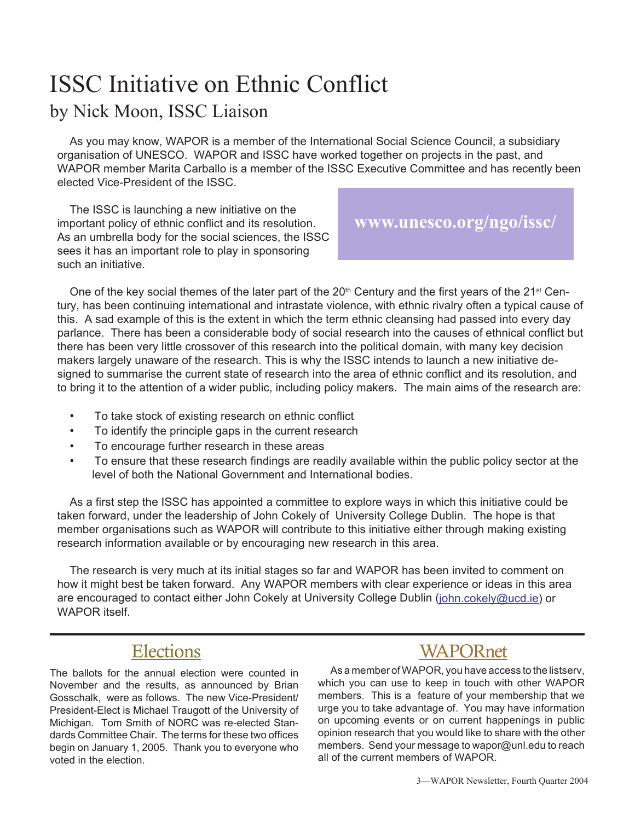# ISSC Initiative on Ethnic Conflict by Nick Moon, ISSC Liaison

As you may know, WAPOR is a member of the International Social Science Council, a subsidiary organisation of UNESCO. WAPOR and ISSC have worked together on projects in the past, and WAPOR member Marita Carballo is a member of the ISSC Executive Committee and has recently been elected Vice-President of the ISSC.

The ISSC is launching a new initiative on the important policy of ethnic conflict and its resolution. As an umbrella body for the social sciences, the ISSC sees it has an important role to play in sponsoring such an initiative.

## **www.unesco.org/ngo/issc/**

One of the key social themes of the later part of the 20<sup>th</sup> Century and the first years of the 21<sup>st</sup> Century, has been continuing international and intrastate violence, with ethnic rivalry often a typical cause of this. A sad example of this is the extent in which the term ethnic cleansing had passed into every day parlance. There has been a considerable body of social research into the causes of ethnical conflict but there has been very little crossover of this research into the political domain, with many key decision makers largely unaware of the research. This is why the ISSC intends to launch a new initiative designed to summarise the current state of research into the area of ethnic conflict and its resolution, and to bring it to the attention of a wider public, including policy makers. The main aims of the research are:

- To take stock of existing research on ethnic conflict
- To identify the principle gaps in the current research
- To encourage further research in these areas
- To ensure that these research findings are readily available within the public policy sector at the level of both the National Government and International bodies.

As a first step the ISSC has appointed a committee to explore ways in which this initiative could be taken forward, under the leadership of John Cokely of University College Dublin. The hope is that member organisations such as WAPOR will contribute to this initiative either through making existing research information available or by encouraging new research in this area.

The research is very much at its initial stages so far and WAPOR has been invited to comment on how it might best be taken forward. Any WAPOR members with clear experience or ideas in this area are encouraged to contact either John Cokely at University College Dublin (john.cokely@ucd.ie) or WAPOR itself.

## **Elections**

The ballots for the annual election were counted in November and the results, as announced by Brian Gosschalk, were as follows. The new Vice-President/ President-Elect is Michael Traugott of the University of Michigan. Tom Smith of NORC was re-elected Standards Committee Chair. The terms for these two offices begin on January 1, 2005. Thank you to everyone who voted in the election.

# WAPORnet

As a member of WAPOR, you have access to the listserv, which you can use to keep in touch with other WAPOR members. This is a feature of your membership that we urge you to take advantage of. You may have information on upcoming events or on current happenings in public opinion research that you would like to share with the other members. Send your message to wapor@unl.edu to reach all of the current members of WAPOR.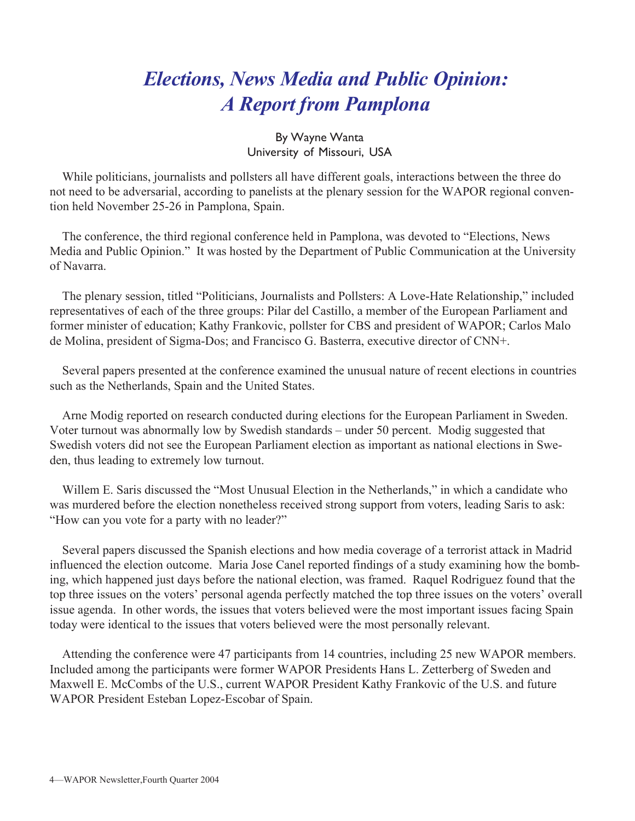# *Elections, News Media and Public Opinion: A Report from Pamplona*

## By Wayne Wanta University of Missouri, USA

While politicians, journalists and pollsters all have different goals, interactions between the three do not need to be adversarial, according to panelists at the plenary session for the WAPOR regional convention held November 25-26 in Pamplona, Spain.

The conference, the third regional conference held in Pamplona, was devoted to "Elections, News Media and Public Opinion." It was hosted by the Department of Public Communication at the University of Navarra.

The plenary session, titled "Politicians, Journalists and Pollsters: A Love-Hate Relationship," included representatives of each of the three groups: Pilar del Castillo, a member of the European Parliament and former minister of education; Kathy Frankovic, pollster for CBS and president of WAPOR; Carlos Malo de Molina, president of Sigma-Dos; and Francisco G. Basterra, executive director of CNN+.

Several papers presented at the conference examined the unusual nature of recent elections in countries such as the Netherlands, Spain and the United States.

Arne Modig reported on research conducted during elections for the European Parliament in Sweden. Voter turnout was abnormally low by Swedish standards – under 50 percent. Modig suggested that Swedish voters did not see the European Parliament election as important as national elections in Sweden, thus leading to extremely low turnout.

Willem E. Saris discussed the "Most Unusual Election in the Netherlands," in which a candidate who was murdered before the election nonetheless received strong support from voters, leading Saris to ask: "How can you vote for a party with no leader?"

Several papers discussed the Spanish elections and how media coverage of a terrorist attack in Madrid influenced the election outcome. Maria Jose Canel reported findings of a study examining how the bombing, which happened just days before the national election, was framed. Raquel Rodriguez found that the top three issues on the voters' personal agenda perfectly matched the top three issues on the voters' overall issue agenda. In other words, the issues that voters believed were the most important issues facing Spain today were identical to the issues that voters believed were the most personally relevant.

Attending the conference were 47 participants from 14 countries, including 25 new WAPOR members. Included among the participants were former WAPOR Presidents Hans L. Zetterberg of Sweden and Maxwell E. McCombs of the U.S., current WAPOR President Kathy Frankovic of the U.S. and future WAPOR President Esteban Lopez-Escobar of Spain.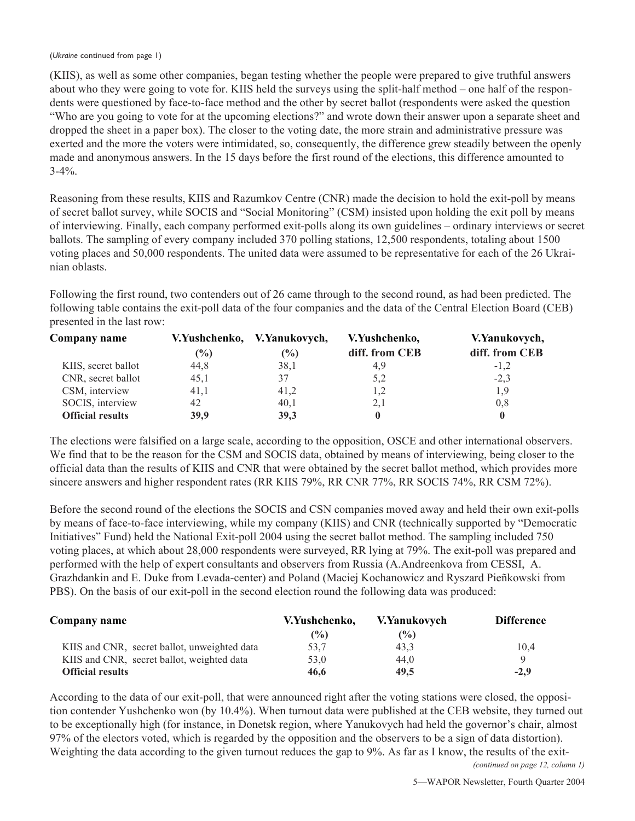(KIIS), as well as some other companies, began testing whether the people were prepared to give truthful answers about who they were going to vote for. KIIS held the surveys using the split-half method – one half of the respondents were questioned by face-to-face method and the other by secret ballot (respondents were asked the question "Who are you going to vote for at the upcoming elections?" and wrote down their answer upon a separate sheet and dropped the sheet in a paper box). The closer to the voting date, the more strain and administrative pressure was exerted and the more the voters were intimidated, so, consequently, the difference grew steadily between the openly made and anonymous answers. In the 15 days before the first round of the elections, this difference amounted to 3-4%.

Reasoning from these results, KIIS and Razumkov Centre (CNR) made the decision to hold the exit-poll by means of secret ballot survey, while SOCIS and "Social Monitoring" (CSM) insisted upon holding the exit poll by means of interviewing. Finally, each company performed exit-polls along its own guidelines – ordinary interviews or secret ballots. The sampling of every company included 370 polling stations, 12,500 respondents, totaling about 1500 voting places and 50,000 respondents. The united data were assumed to be representative for each of the 26 Ukrainian oblasts.

Following the first round, two contenders out of 26 came through to the second round, as had been predicted. The following table contains the exit-poll data of the four companies and the data of the Central Election Board (CEB) presented in the last row:

| Company name            |      | V.Yushchenko, V.Yanukovych, | V.Yushchenko,  | V.Yanukovych,  |
|-------------------------|------|-----------------------------|----------------|----------------|
|                         | (%)  | $\frac{6}{6}$               | diff. from CEB | diff. from CEB |
| KIIS, secret ballot     | 44,8 | 38,1                        | 4.9            | $-1,2$         |
| CNR, secret ballot      | 45,1 | 37                          | 5,2            | $-2,3$         |
| CSM, interview          | 41,1 | 41,2                        | 1,2            | 1,9            |
| SOCIS, interview        | 42   | 40,1                        | 2,1            | 0,8            |
| <b>Official results</b> | 39.9 | 39,3                        |                | $\bf{0}$       |

The elections were falsified on a large scale, according to the opposition, OSCE and other international observers. We find that to be the reason for the CSM and SOCIS data, obtained by means of interviewing, being closer to the official data than the results of KIIS and CNR that were obtained by the secret ballot method, which provides more sincere answers and higher respondent rates (RR KIIS 79%, RR CNR 77%, RR SOCIS 74%, RR CSM 72%).

Before the second round of the elections the SOCIS and CSN companies moved away and held their own exit-polls by means of face-to-face interviewing, while my company (KIIS) and CNR (technically supported by "Democratic Initiatives" Fund) held the National Exit-poll 2004 using the secret ballot method. The sampling included 750 voting places, at which about 28,000 respondents were surveyed, RR lying at 79%. The exit-poll was prepared and performed with the help of expert consultants and observers from Russia (A.Andreenkova from CESSI, A. Grazhdankin and E. Duke from Levada-center) and Poland (Maciej Kochanowicz and Ryszard Pieñkowski from PBS). On the basis of our exit-poll in the second election round the following data was produced:

| Company name                                 | V.Yushchenko. | V.Yanukovych   | <b>Difference</b> |
|----------------------------------------------|---------------|----------------|-------------------|
|                                              | $\frac{1}{2}$ | $\binom{0}{0}$ |                   |
| KIIS and CNR, secret ballot, unweighted data | 53,7          | 43.3           | 10.4              |
| KIIS and CNR, secret ballot, weighted data   | 53.0          | 44.0           |                   |
| <b>Official results</b>                      | 46.6          | 49.5           | $-2.9$            |

According to the data of our exit-poll, that were announced right after the voting stations were closed, the opposition contender Yushchenko won (by 10.4%). When turnout data were published at the CEB website, they turned out to be exceptionally high (for instance, in Donetsk region, where Yanukovych had held the governor's chair, almost 97% of the electors voted, which is regarded by the opposition and the observers to be a sign of data distortion). Weighting the data according to the given turnout reduces the gap to 9%. As far as I know, the results of the exit-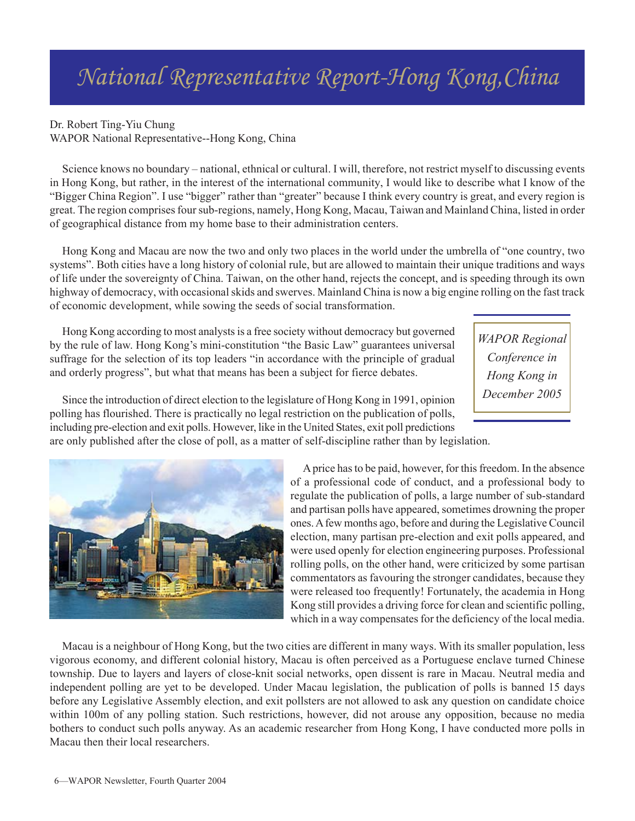# *National Representative Report-Hong Kong,China*

## Dr. Robert Ting-Yiu Chung

WAPOR National Representative--Hong Kong, China

Science knows no boundary – national, ethnical or cultural. I will, therefore, not restrict myself to discussing events in Hong Kong, but rather, in the interest of the international community, I would like to describe what I know of the "Bigger China Region". I use "bigger" rather than "greater" because I think every country is great, and every region is great. The region comprises four sub-regions, namely, Hong Kong, Macau, Taiwan and Mainland China, listed in order of geographical distance from my home base to their administration centers.

Hong Kong and Macau are now the two and only two places in the world under the umbrella of "one country, two systems". Both cities have a long history of colonial rule, but are allowed to maintain their unique traditions and ways of life under the sovereignty of China. Taiwan, on the other hand, rejects the concept, and is speeding through its own highway of democracy, with occasional skids and swerves. Mainland China is now a big engine rolling on the fast track of economic development, while sowing the seeds of social transformation.

Hong Kong according to most analysts is a free society without democracy but governed by the rule of law. Hong Kong's mini-constitution "the Basic Law" guarantees universal suffrage for the selection of its top leaders "in accordance with the principle of gradual and orderly progress", but what that means has been a subject for fierce debates.

*WAPOR Regional Conference in Hong Kong in December 2005*

Since the introduction of direct election to the legislature of Hong Kong in 1991, opinion polling has flourished. There is practically no legal restriction on the publication of polls, including pre-election and exit polls. However, like in the United States, exit poll predictions

are only published after the close of poll, as a matter of self-discipline rather than by legislation.



A price has to be paid, however, for this freedom. In the absence of a professional code of conduct, and a professional body to regulate the publication of polls, a large number of sub-standard and partisan polls have appeared, sometimes drowning the proper ones. A few months ago, before and during the Legislative Council election, many partisan pre-election and exit polls appeared, and were used openly for election engineering purposes. Professional rolling polls, on the other hand, were criticized by some partisan commentators as favouring the stronger candidates, because they were released too frequently! Fortunately, the academia in Hong Kong still provides a driving force for clean and scientific polling, which in a way compensates for the deficiency of the local media.

Macau is a neighbour of Hong Kong, but the two cities are different in many ways. With its smaller population, less vigorous economy, and different colonial history, Macau is often perceived as a Portuguese enclave turned Chinese township. Due to layers and layers of close-knit social networks, open dissent is rare in Macau. Neutral media and independent polling are yet to be developed. Under Macau legislation, the publication of polls is banned 15 days before any Legislative Assembly election, and exit pollsters are not allowed to ask any question on candidate choice within 100m of any polling station. Such restrictions, however, did not arouse any opposition, because no media bothers to conduct such polls anyway. As an academic researcher from Hong Kong, I have conducted more polls in Macau then their local researchers.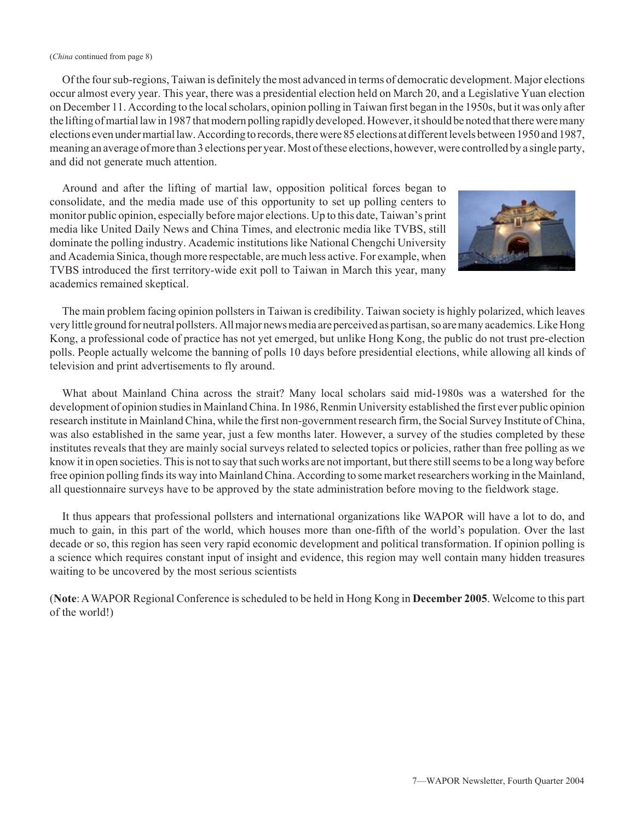#### (*China* continued from page 8)

Of the four sub-regions, Taiwan is definitely the most advanced in terms of democratic development. Major elections occur almost every year. This year, there was a presidential election held on March 20, and a Legislative Yuan election on December 11. According to the local scholars, opinion polling in Taiwan first began in the 1950s, but it was only after the lifting of martial law in 1987 that modern polling rapidly developed. However, it should be noted that there were many elections even under martial law. According to records, there were 85 elections at different levels between 1950 and 1987, meaning an average of more than 3 elections per year. Most of these elections, however, were controlled by a single party, and did not generate much attention.

Around and after the lifting of martial law, opposition political forces began to consolidate, and the media made use of this opportunity to set up polling centers to monitor public opinion, especially before major elections. Up to this date, Taiwan's print media like United Daily News and China Times, and electronic media like TVBS, still dominate the polling industry. Academic institutions like National Chengchi University and Academia Sinica, though more respectable, are much less active. For example, when TVBS introduced the first territory-wide exit poll to Taiwan in March this year, many academics remained skeptical.



The main problem facing opinion pollsters in Taiwan is credibility. Taiwan society is highly polarized, which leaves very little ground for neutral pollsters. All major news media are perceived as partisan, so are many academics. Like Hong Kong, a professional code of practice has not yet emerged, but unlike Hong Kong, the public do not trust pre-election polls. People actually welcome the banning of polls 10 days before presidential elections, while allowing all kinds of television and print advertisements to fly around.

What about Mainland China across the strait? Many local scholars said mid-1980s was a watershed for the development of opinion studies in Mainland China. In 1986, Renmin University established the first ever public opinion research institute in Mainland China, while the first non-government research firm, the Social Survey Institute of China, was also established in the same year, just a few months later. However, a survey of the studies completed by these institutes reveals that they are mainly social surveys related to selected topics or policies, rather than free polling as we know it in open societies. This is not to say that such works are not important, but there still seems to be a long way before free opinion polling finds its way into Mainland China. According to some market researchers working in the Mainland, all questionnaire surveys have to be approved by the state administration before moving to the fieldwork stage.

It thus appears that professional pollsters and international organizations like WAPOR will have a lot to do, and much to gain, in this part of the world, which houses more than one-fifth of the world's population. Over the last decade or so, this region has seen very rapid economic development and political transformation. If opinion polling is a science which requires constant input of insight and evidence, this region may well contain many hidden treasures waiting to be uncovered by the most serious scientists

(**Note**: A WAPOR Regional Conference is scheduled to be held in Hong Kong in **December 2005**. Welcome to this part of the world!)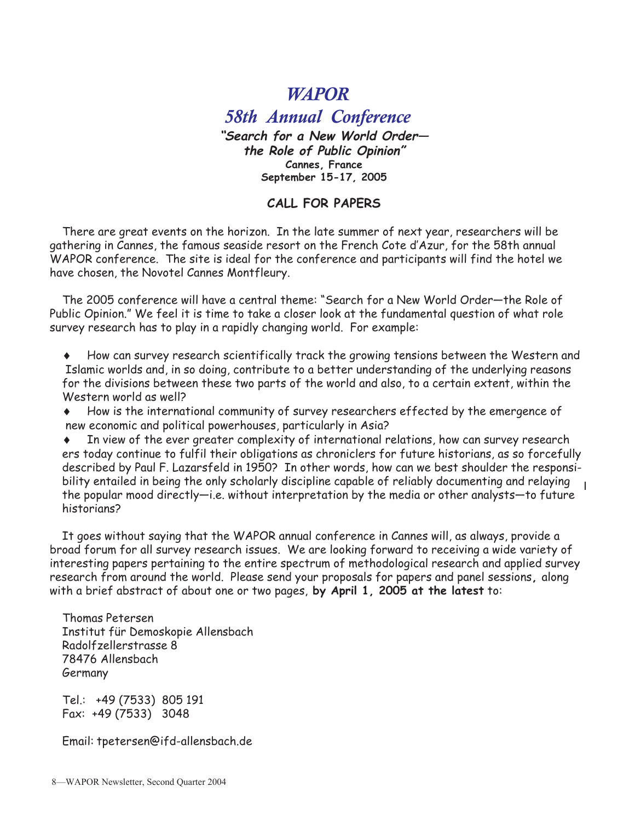# *WAPOR*

*58th Annual Conference* **"Search for a New World Order the Role of Public Opinion" Cannes, France September 15-17, 2005**

## **CALL FOR PAPERS**

There are great events on the horizon. In the late summer of next year, researchers will be gathering in Cannes, the famous seaside resort on the French Cote d'Azur, for the 58th annual WAPOR conference. The site is ideal for the conference and participants will find the hotel we have chosen, the Novotel Cannes Montfleury.

The 2005 conference will have a central theme: "Search for a New World Order—the Role of Public Opinion." We feel it is time to take a closer look at the fundamental question of what role survey research has to play in a rapidly changing world. For example:

♦ How can survey research scientifically track the growing tensions between the Western and Islamic worlds and, in so doing, contribute to a better understanding of the underlying reasons for the divisions between these two parts of the world and also, to a certain extent, within the Western world as well?

♦ How is the international community of survey researchers effected by the emergence of new economic and political powerhouses, particularly in Asia?

In view of the ever greater complexity of international relations, how can survey research ers today continue to fulfil their obligations as chroniclers for future historians, as so forcefully described by Paul F. Lazarsfeld in 1950? In other words, how can we best shoulder the responsibility entailed in being the only scholarly discipline capable of reliably documenting and relaying the popular mood directly—i.e. without interpretation by the media or other analysts—to future historians?

It goes without saying that the WAPOR annual conference in Cannes will, as always, provide a broad forum for all survey research issues. We are looking forward to receiving a wide variety of interesting papers pertaining to the entire spectrum of methodological research and applied survey research from around the world. Please send your proposals for papers and panel sessions**,** along with a brief abstract of about one or two pages, **by April 1, 2005 at the latest** to:

Thomas Petersen Institut für Demoskopie Allensbach Radolfzellerstrasse 8 78476 Allensbach Germany

Tel.: +49 (7533) 805 191 Fax: +49 (7533) 3048

Email: tpetersen@ifd-allensbach.de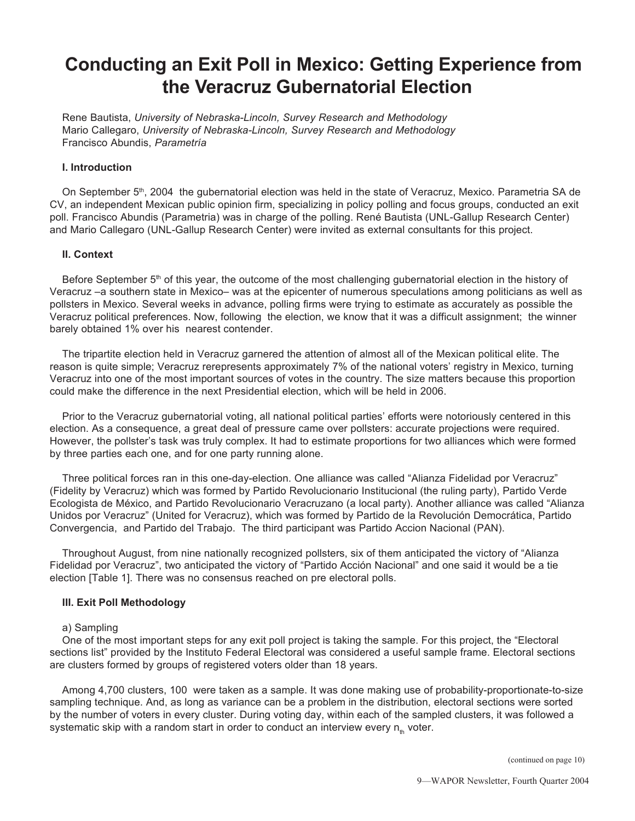# **Conducting an Exit Poll in Mexico: Getting Experience from the Veracruz Gubernatorial Election**

Rene Bautista, *University of Nebraska-Lincoln, Survey Research and Methodology* Mario Callegaro, *University of Nebraska-Lincoln, Survey Research and Methodology* Francisco Abundis, *Parametría*

## **I. Introduction**

On September 5<sup>th</sup>, 2004 the gubernatorial election was held in the state of Veracruz, Mexico. Parametria SA de CV, an independent Mexican public opinion firm, specializing in policy polling and focus groups, conducted an exit poll. Francisco Abundis (Parametria) was in charge of the polling. René Bautista (UNL-Gallup Research Center) and Mario Callegaro (UNL-Gallup Research Center) were invited as external consultants for this project.

## **II. Context**

Before September 5<sup>th</sup> of this year, the outcome of the most challenging gubernatorial election in the history of Veracruz –a southern state in Mexico– was at the epicenter of numerous speculations among politicians as well as pollsters in Mexico. Several weeks in advance, polling firms were trying to estimate as accurately as possible the Veracruz political preferences. Now, following the election, we know that it was a difficult assignment; the winner barely obtained 1% over his nearest contender.

The tripartite election held in Veracruz garnered the attention of almost all of the Mexican political elite. The reason is quite simple; Veracruz rerepresents approximately 7% of the national voters' registry in Mexico, turning Veracruz into one of the most important sources of votes in the country. The size matters because this proportion could make the difference in the next Presidential election, which will be held in 2006.

Prior to the Veracruz gubernatorial voting, all national political parties' efforts were notoriously centered in this election. As a consequence, a great deal of pressure came over pollsters: accurate projections were required. However, the pollster's task was truly complex. It had to estimate proportions for two alliances which were formed by three parties each one, and for one party running alone.

Three political forces ran in this one-day-election. One alliance was called "Alianza Fidelidad por Veracruz" (Fidelity by Veracruz) which was formed by Partido Revolucionario Institucional (the ruling party), Partido Verde Ecologista de México, and Partido Revolucionario Veracruzano (a local party). Another alliance was called "Alianza Unidos por Veracruz" (United for Veracruz), which was formed by Partido de la Revolución Democrática, Partido Convergencia, and Partido del Trabajo. The third participant was Partido Accion Nacional (PAN).

Throughout August, from nine nationally recognized pollsters, six of them anticipated the victory of "Alianza Fidelidad por Veracruz", two anticipated the victory of "Partido Acción Nacional" and one said it would be a tie election [Table 1]. There was no consensus reached on pre electoral polls.

## **III. Exit Poll Methodology**

## a) Sampling

One of the most important steps for any exit poll project is taking the sample. For this project, the "Electoral sections list" provided by the Instituto Federal Electoral was considered a useful sample frame. Electoral sections are clusters formed by groups of registered voters older than 18 years.

Among 4,700 clusters, 100 were taken as a sample. It was done making use of probability-proportionate-to-size sampling technique. And, as long as variance can be a problem in the distribution, electoral sections were sorted by the number of voters in every cluster. During voting day, within each of the sampled clusters, it was followed a systematic skip with a random start in order to conduct an interview every  $n_{th}$  voter.

(continued on page 10)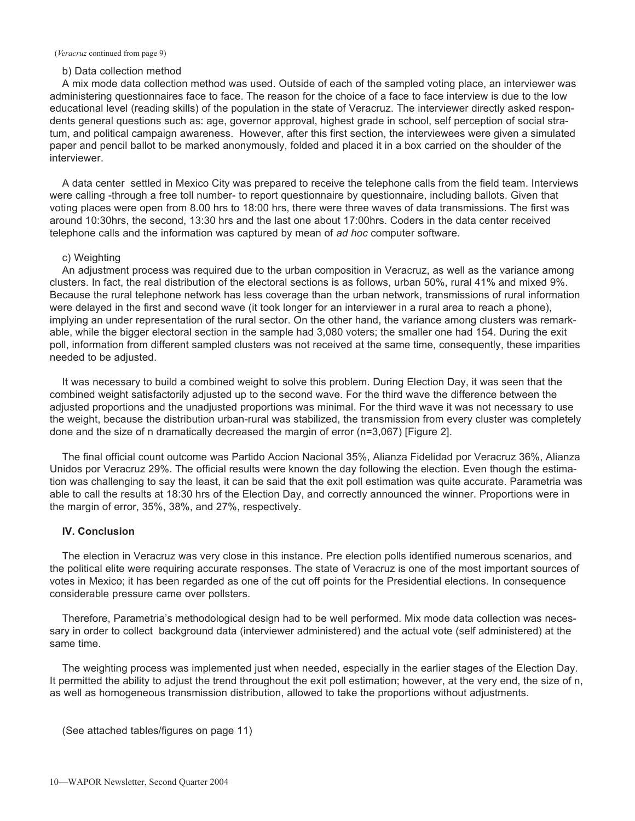## b) Data collection method

A mix mode data collection method was used. Outside of each of the sampled voting place, an interviewer was administering questionnaires face to face. The reason for the choice of a face to face interview is due to the low educational level (reading skills) of the population in the state of Veracruz. The interviewer directly asked respondents general questions such as: age, governor approval, highest grade in school, self perception of social stratum, and political campaign awareness. However, after this first section, the interviewees were given a simulated paper and pencil ballot to be marked anonymously, folded and placed it in a box carried on the shoulder of the interviewer.

A data center settled in Mexico City was prepared to receive the telephone calls from the field team. Interviews were calling -through a free toll number- to report questionnaire by questionnaire, including ballots. Given that voting places were open from 8.00 hrs to 18:00 hrs, there were three waves of data transmissions. The first was around 10:30hrs, the second, 13:30 hrs and the last one about 17:00hrs. Coders in the data center received telephone calls and the information was captured by mean of *ad hoc* computer software.

## c) Weighting

An adjustment process was required due to the urban composition in Veracruz, as well as the variance among clusters. In fact, the real distribution of the electoral sections is as follows, urban 50%, rural 41% and mixed 9%. Because the rural telephone network has less coverage than the urban network, transmissions of rural information were delayed in the first and second wave (it took longer for an interviewer in a rural area to reach a phone), implying an under representation of the rural sector. On the other hand, the variance among clusters was remarkable, while the bigger electoral section in the sample had 3,080 voters; the smaller one had 154. During the exit poll, information from different sampled clusters was not received at the same time, consequently, these imparities needed to be adjusted.

It was necessary to build a combined weight to solve this problem. During Election Day, it was seen that the combined weight satisfactorily adjusted up to the second wave. For the third wave the difference between the adjusted proportions and the unadjusted proportions was minimal. For the third wave it was not necessary to use the weight, because the distribution urban-rural was stabilized, the transmission from every cluster was completely done and the size of n dramatically decreased the margin of error (n=3,067) [Figure 2].

The final official count outcome was Partido Accion Nacional 35%, Alianza Fidelidad por Veracruz 36%, Alianza Unidos por Veracruz 29%. The official results were known the day following the election. Even though the estimation was challenging to say the least, it can be said that the exit poll estimation was quite accurate. Parametria was able to call the results at 18:30 hrs of the Election Day, and correctly announced the winner. Proportions were in the margin of error, 35%, 38%, and 27%, respectively.

## **IV. Conclusion**

The election in Veracruz was very close in this instance. Pre election polls identified numerous scenarios, and the political elite were requiring accurate responses. The state of Veracruz is one of the most important sources of votes in Mexico; it has been regarded as one of the cut off points for the Presidential elections. In consequence considerable pressure came over pollsters.

Therefore, Parametria's methodological design had to be well performed. Mix mode data collection was necessary in order to collect background data (interviewer administered) and the actual vote (self administered) at the same time.

The weighting process was implemented just when needed, especially in the earlier stages of the Election Day. It permitted the ability to adjust the trend throughout the exit poll estimation; however, at the very end, the size of n, as well as homogeneous transmission distribution, allowed to take the proportions without adjustments.

(See attached tables/figures on page 11)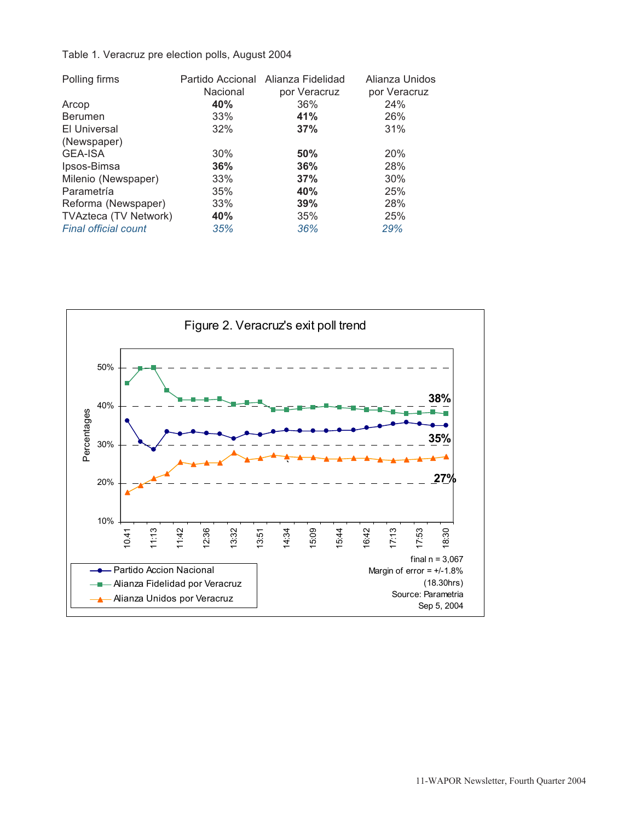## Table 1. Veracruz pre election polls, August 2004

| Polling firms                | Partido Accional | Alianza Fidelidad | Alianza Unidos |  |
|------------------------------|------------------|-------------------|----------------|--|
|                              | Nacional         | por Veracruz      | por Veracruz   |  |
| Arcop                        | 40%              | 36%               | 24%            |  |
| <b>Berumen</b>               | 33%              | 41%               | 26%            |  |
| El Universal                 | 32%              | 37%               | 31%            |  |
| (Newspaper)                  |                  |                   |                |  |
| <b>GEA-ISA</b>               | 30%              | 50%               | 20%            |  |
| Ipsos-Bimsa                  | 36%              | 36%               | 28%            |  |
| Milenio (Newspaper)          | 33%              | 37%               | 30%            |  |
| Parametría                   | 35%              | 40%               | 25%            |  |
| Reforma (Newspaper)          | 33%              | 39%               | 28%            |  |
| <b>TVAzteca (TV Network)</b> | 40%              | 35%               | 25%            |  |
| <b>Final official count</b>  | 35%              | 36%               | 29%            |  |
|                              |                  |                   |                |  |